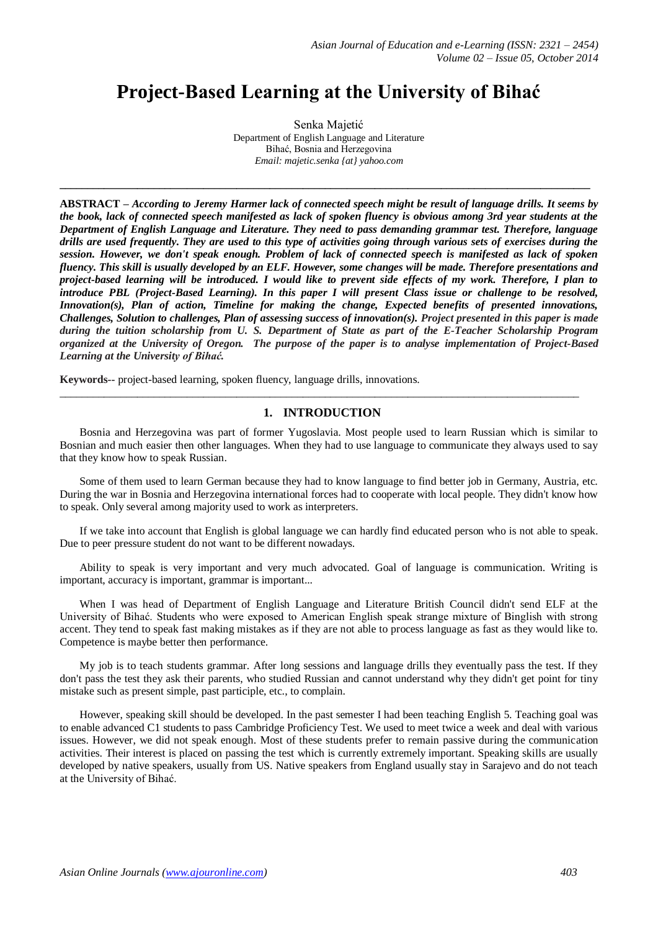# **Project-Based Learning at the University of Bihać**

Senka Majetić Department of English Language and Literature Bihać, Bosnia and Herzegovina *Email: majetic.senka {at} yahoo.com*

**\_\_\_\_\_\_\_\_\_\_\_\_\_\_\_\_\_\_\_\_\_\_\_\_\_\_\_\_\_\_\_\_\_\_\_\_\_\_\_\_\_\_\_\_\_\_\_\_\_\_\_\_\_\_\_\_\_\_\_\_\_\_\_\_\_\_\_\_\_\_\_\_\_\_\_\_\_\_\_\_\_\_\_\_\_\_\_\_\_\_\_\_\_\_\_\_**

**ABSTRACT** *– According to Jeremy Harmer lack of connected speech might be result of language drills. It seems by the book, lack of connected speech manifested as lack of spoken fluency is obvious among 3rd year students at the Department of English Language and Literature. They need to pass demanding grammar test. Therefore, language drills are used frequently. They are used to this type of activities going through various sets of exercises during the session. However, we don't speak enough. Problem of lack of connected speech is manifested as lack of spoken fluency. This skill is usually developed by an ELF. However, some changes will be made. Therefore presentations and project-based learning will be introduced. I would like to prevent side effects of my work. Therefore, I plan to introduce PBL (Project-Based Learning). In this paper I will present Class issue or challenge to be resolved, Innovation(s), Plan of action, Timeline for making the change, Expected benefits of presented innovations, Challenges, Solution to challenges, Plan of assessing success of innovation(s). Project presented in this paper is made during the tuition scholarship from U. S. Department of State as part of the E-Teacher Scholarship Program organized at the University of Oregon. The purpose of the paper is to analyse implementation of Project-Based Learning at the University of Bihać.*

**Keywords--** project-based learning, spoken fluency, language drills, innovations.

# \_\_\_\_\_\_\_\_\_\_\_\_\_\_\_\_\_\_\_\_\_\_\_\_\_\_\_\_\_\_\_\_\_\_\_\_\_\_\_\_\_\_\_\_\_\_\_\_\_\_\_\_\_\_\_\_\_\_\_\_\_\_\_\_\_\_\_\_\_\_\_\_\_\_\_\_\_\_\_\_\_\_\_\_\_\_\_\_\_\_\_\_\_\_ **1. INTRODUCTION**

Bosnia and Herzegovina was part of former Yugoslavia. Most people used to learn Russian which is similar to Bosnian and much easier then other languages. When they had to use language to communicate they always used to say that they know how to speak Russian.

Some of them used to learn German because they had to know language to find better job in Germany, Austria, etc. During the war in Bosnia and Herzegovina international forces had to cooperate with local people. They didn't know how to speak. Only several among majority used to work as interpreters.

If we take into account that English is global language we can hardly find educated person who is not able to speak. Due to peer pressure student do not want to be different nowadays.

Ability to speak is very important and very much advocated. Goal of language is communication. Writing is important, accuracy is important, grammar is important...

When I was head of Department of English Language and Literature British Council didn't send ELF at the University of Bihać. Students who were exposed to American English speak strange mixture of Binglish with strong accent. They tend to speak fast making mistakes as if they are not able to process language as fast as they would like to. Competence is maybe better then performance.

My job is to teach students grammar. After long sessions and language drills they eventually pass the test. If they don't pass the test they ask their parents, who studied Russian and cannot understand why they didn't get point for tiny mistake such as present simple, past participle, etc., to complain.

However, speaking skill should be developed. In the past semester I had been teaching English 5. Teaching goal was to enable advanced C1 students to pass Cambridge Proficiency Test. We used to meet twice a week and deal with various issues. However, we did not speak enough. Most of these students prefer to remain passive during the communication activities. Their interest is placed on passing the test which is currently extremely important. Speaking skills are usually developed by native speakers, usually from US. Native speakers from England usually stay in Sarajevo and do not teach at the University of Bihać.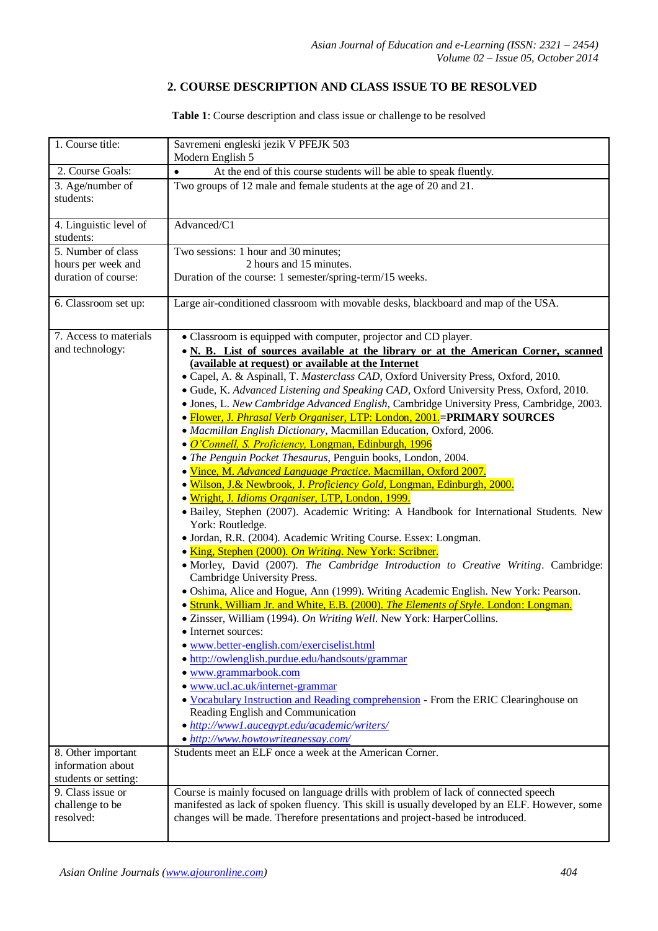## **2. COURSE DESCRIPTION AND CLASS ISSUE TO BE RESOLVED**

**Table 1**: Course description and class issue or challenge to be resolved

| 1. Course title:                    | Savremeni engleski jezik V PFEJK 503                                                                                                                                                                                                                                                                                                                                                                                                                                                                                                                                                                                                                                                                                                                                                                                                                                                                                                                                                                                                                                                                                                                                                  |  |  |  |  |  |
|-------------------------------------|---------------------------------------------------------------------------------------------------------------------------------------------------------------------------------------------------------------------------------------------------------------------------------------------------------------------------------------------------------------------------------------------------------------------------------------------------------------------------------------------------------------------------------------------------------------------------------------------------------------------------------------------------------------------------------------------------------------------------------------------------------------------------------------------------------------------------------------------------------------------------------------------------------------------------------------------------------------------------------------------------------------------------------------------------------------------------------------------------------------------------------------------------------------------------------------|--|--|--|--|--|
|                                     | Modern English 5                                                                                                                                                                                                                                                                                                                                                                                                                                                                                                                                                                                                                                                                                                                                                                                                                                                                                                                                                                                                                                                                                                                                                                      |  |  |  |  |  |
| 2. Course Goals:                    | At the end of this course students will be able to speak fluently.<br>$\bullet$                                                                                                                                                                                                                                                                                                                                                                                                                                                                                                                                                                                                                                                                                                                                                                                                                                                                                                                                                                                                                                                                                                       |  |  |  |  |  |
| 3. Age/number of<br>students:       | Two groups of 12 male and female students at the age of 20 and 21.                                                                                                                                                                                                                                                                                                                                                                                                                                                                                                                                                                                                                                                                                                                                                                                                                                                                                                                                                                                                                                                                                                                    |  |  |  |  |  |
| 4. Linguistic level of<br>students: | Advanced/C1                                                                                                                                                                                                                                                                                                                                                                                                                                                                                                                                                                                                                                                                                                                                                                                                                                                                                                                                                                                                                                                                                                                                                                           |  |  |  |  |  |
| 5. Number of class                  | Two sessions: 1 hour and 30 minutes;                                                                                                                                                                                                                                                                                                                                                                                                                                                                                                                                                                                                                                                                                                                                                                                                                                                                                                                                                                                                                                                                                                                                                  |  |  |  |  |  |
| hours per week and                  | 2 hours and 15 minutes.                                                                                                                                                                                                                                                                                                                                                                                                                                                                                                                                                                                                                                                                                                                                                                                                                                                                                                                                                                                                                                                                                                                                                               |  |  |  |  |  |
| duration of course:                 | Duration of the course: 1 semester/spring-term/15 weeks.                                                                                                                                                                                                                                                                                                                                                                                                                                                                                                                                                                                                                                                                                                                                                                                                                                                                                                                                                                                                                                                                                                                              |  |  |  |  |  |
| 6. Classroom set up:                | Large air-conditioned classroom with movable desks, blackboard and map of the USA.                                                                                                                                                                                                                                                                                                                                                                                                                                                                                                                                                                                                                                                                                                                                                                                                                                                                                                                                                                                                                                                                                                    |  |  |  |  |  |
| 7. Access to materials              | • Classroom is equipped with computer, projector and CD player.                                                                                                                                                                                                                                                                                                                                                                                                                                                                                                                                                                                                                                                                                                                                                                                                                                                                                                                                                                                                                                                                                                                       |  |  |  |  |  |
| and technology:                     | • N. B. List of sources available at the library or at the American Corner, scanned                                                                                                                                                                                                                                                                                                                                                                                                                                                                                                                                                                                                                                                                                                                                                                                                                                                                                                                                                                                                                                                                                                   |  |  |  |  |  |
|                                     | (available at request) or available at the Internet<br>· Capel, A. & Aspinall, T. Masterclass CAD, Oxford University Press, Oxford, 2010.<br>· Gude, K. Advanced Listening and Speaking CAD, Oxford University Press, Oxford, 2010.<br>• Jones, L. New Cambridge Advanced English, Cambridge University Press, Cambridge, 2003.<br>• Flower, J. Phrasal Verb Organiser, LTP: London, 2001. = PRIMARY SOURCES<br>· Macmillan English Dictionary, Macmillan Education, Oxford, 2006.<br>· <i>O'Connell, S. Proficiency, Longman, Edinburgh, 1996</i><br>• The Penguin Pocket Thesaurus, Penguin books, London, 2004.<br>· Vince, M. Advanced Language Practice. Macmillan, Oxford 2007.<br>· Wilson, J.& Newbrook, J. Proficiency Gold, Longman, Edinburgh, 2000.<br>· Wright, J. Idioms Organiser, LTP, London, 1999.<br>· Bailey, Stephen (2007). Academic Writing: A Handbook for International Students. New<br>York: Routledge.<br>· Jordan, R.R. (2004). Academic Writing Course. Essex: Longman.<br>· King, Stephen (2000). On Writing. New York: Scribner.<br>· Morley, David (2007). The Cambridge Introduction to Creative Writing. Cambridge:<br>Cambridge University Press. |  |  |  |  |  |
|                                     | · Oshima, Alice and Hogue, Ann (1999). Writing Academic English. New York: Pearson.<br><b>Strunk, William Jr. and White, E.B. (2000).</b> The Elements of Style. London: Longman.                                                                                                                                                                                                                                                                                                                                                                                                                                                                                                                                                                                                                                                                                                                                                                                                                                                                                                                                                                                                     |  |  |  |  |  |
|                                     | • Zinsser, William (1994). On Writing Well. New York: HarperCollins.<br>• Internet sources:                                                                                                                                                                                                                                                                                                                                                                                                                                                                                                                                                                                                                                                                                                                                                                                                                                                                                                                                                                                                                                                                                           |  |  |  |  |  |
|                                     | • www.better-english.com/exerciselist.html                                                                                                                                                                                                                                                                                                                                                                                                                                                                                                                                                                                                                                                                                                                                                                                                                                                                                                                                                                                                                                                                                                                                            |  |  |  |  |  |
|                                     | · http://owlenglish.purdue.edu/handsouts/grammar                                                                                                                                                                                                                                                                                                                                                                                                                                                                                                                                                                                                                                                                                                                                                                                                                                                                                                                                                                                                                                                                                                                                      |  |  |  |  |  |
|                                     | · www.grammarbook.com                                                                                                                                                                                                                                                                                                                                                                                                                                                                                                                                                                                                                                                                                                                                                                                                                                                                                                                                                                                                                                                                                                                                                                 |  |  |  |  |  |
|                                     | · www.ucl.ac.uk/internet-grammar                                                                                                                                                                                                                                                                                                                                                                                                                                                                                                                                                                                                                                                                                                                                                                                                                                                                                                                                                                                                                                                                                                                                                      |  |  |  |  |  |
|                                     | • Vocabulary Instruction and Reading comprehension - From the ERIC Clearinghouse on                                                                                                                                                                                                                                                                                                                                                                                                                                                                                                                                                                                                                                                                                                                                                                                                                                                                                                                                                                                                                                                                                                   |  |  |  |  |  |
|                                     | Reading English and Communication<br>• http://www1.aucegypt.edu/academic/writers/                                                                                                                                                                                                                                                                                                                                                                                                                                                                                                                                                                                                                                                                                                                                                                                                                                                                                                                                                                                                                                                                                                     |  |  |  |  |  |
|                                     | • http://www.howtowriteanessay.com/                                                                                                                                                                                                                                                                                                                                                                                                                                                                                                                                                                                                                                                                                                                                                                                                                                                                                                                                                                                                                                                                                                                                                   |  |  |  |  |  |
| 8. Other important                  | Students meet an ELF once a week at the American Corner.                                                                                                                                                                                                                                                                                                                                                                                                                                                                                                                                                                                                                                                                                                                                                                                                                                                                                                                                                                                                                                                                                                                              |  |  |  |  |  |
| information about                   |                                                                                                                                                                                                                                                                                                                                                                                                                                                                                                                                                                                                                                                                                                                                                                                                                                                                                                                                                                                                                                                                                                                                                                                       |  |  |  |  |  |
| students or setting:                |                                                                                                                                                                                                                                                                                                                                                                                                                                                                                                                                                                                                                                                                                                                                                                                                                                                                                                                                                                                                                                                                                                                                                                                       |  |  |  |  |  |
| 9. Class issue or                   | Course is mainly focused on language drills with problem of lack of connected speech                                                                                                                                                                                                                                                                                                                                                                                                                                                                                                                                                                                                                                                                                                                                                                                                                                                                                                                                                                                                                                                                                                  |  |  |  |  |  |
| challenge to be                     | manifested as lack of spoken fluency. This skill is usually developed by an ELF. However, some                                                                                                                                                                                                                                                                                                                                                                                                                                                                                                                                                                                                                                                                                                                                                                                                                                                                                                                                                                                                                                                                                        |  |  |  |  |  |
| resolved:                           | changes will be made. Therefore presentations and project-based be introduced.                                                                                                                                                                                                                                                                                                                                                                                                                                                                                                                                                                                                                                                                                                                                                                                                                                                                                                                                                                                                                                                                                                        |  |  |  |  |  |
|                                     |                                                                                                                                                                                                                                                                                                                                                                                                                                                                                                                                                                                                                                                                                                                                                                                                                                                                                                                                                                                                                                                                                                                                                                                       |  |  |  |  |  |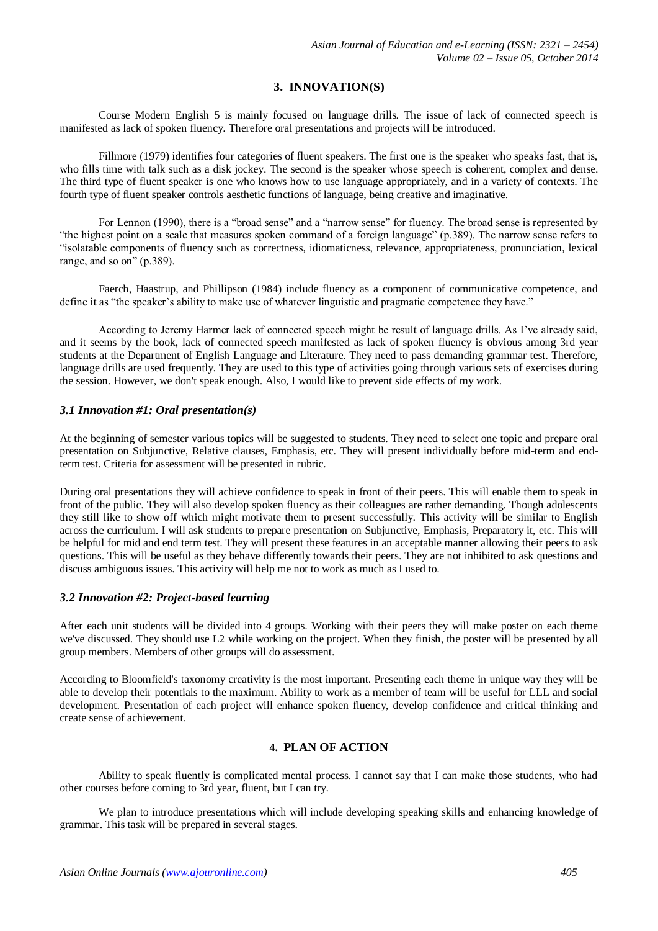## **3. INNOVATION(S)**

Course Modern English 5 is mainly focused on language drills. The issue of lack of connected speech is manifested as lack of spoken fluency. Therefore oral presentations and projects will be introduced.

Fillmore (1979) identifies four categories of fluent speakers. The first one is the speaker who speaks fast, that is, who fills time with talk such as a disk jockey. The second is the speaker whose speech is coherent, complex and dense. The third type of fluent speaker is one who knows how to use language appropriately, and in a variety of contexts. The fourth type of fluent speaker controls aesthetic functions of language, being creative and imaginative.

For Lennon (1990), there is a "broad sense" and a "narrow sense" for fluency. The broad sense is represented by "the highest point on a scale that measures spoken command of a foreign language" (p.389). The narrow sense refers to "isolatable components of fluency such as correctness, idiomaticness, relevance, appropriateness, pronunciation, lexical range, and so on" (p.389).

Faerch, Haastrup, and Phillipson (1984) include fluency as a component of communicative competence, and define it as "the speaker's ability to make use of whatever linguistic and pragmatic competence they have."

According to Jeremy Harmer lack of connected speech might be result of language drills. As I've already said, and it seems by the book, lack of connected speech manifested as lack of spoken fluency is obvious among 3rd year students at the Department of English Language and Literature. They need to pass demanding grammar test. Therefore, language drills are used frequently. They are used to this type of activities going through various sets of exercises during the session. However, we don't speak enough. Also, I would like to prevent side effects of my work.

## *3.1 Innovation #1: Oral presentation(s)*

At the beginning of semester various topics will be suggested to students. They need to select one topic and prepare oral presentation on Subjunctive, Relative clauses, Emphasis, etc. They will present individually before mid-term and endterm test. Criteria for assessment will be presented in rubric.

During oral presentations they will achieve confidence to speak in front of their peers. This will enable them to speak in front of the public. They will also develop spoken fluency as their colleagues are rather demanding. Though adolescents they still like to show off which might motivate them to present successfully. This activity will be similar to English across the curriculum. I will ask students to prepare presentation on Subjunctive, Emphasis, Preparatory it, etc. This will be helpful for mid and end term test. They will present these features in an acceptable manner allowing their peers to ask questions. This will be useful as they behave differently towards their peers. They are not inhibited to ask questions and discuss ambiguous issues. This activity will help me not to work as much as I used to.

## *3.2 Innovation #2: Project-based learning*

After each unit students will be divided into 4 groups. Working with their peers they will make poster on each theme we've discussed. They should use L2 while working on the project. When they finish, the poster will be presented by all group members. Members of other groups will do assessment.

According to Bloomfield's taxonomy creativity is the most important. Presenting each theme in unique way they will be able to develop their potentials to the maximum. Ability to work as a member of team will be useful for LLL and social development. Presentation of each project will enhance spoken fluency, develop confidence and critical thinking and create sense of achievement.

## **4. PLAN OF ACTION**

Ability to speak fluently is complicated mental process. I cannot say that I can make those students, who had other courses before coming to 3rd year, fluent, but I can try.

We plan to introduce presentations which will include developing speaking skills and enhancing knowledge of grammar. This task will be prepared in several stages.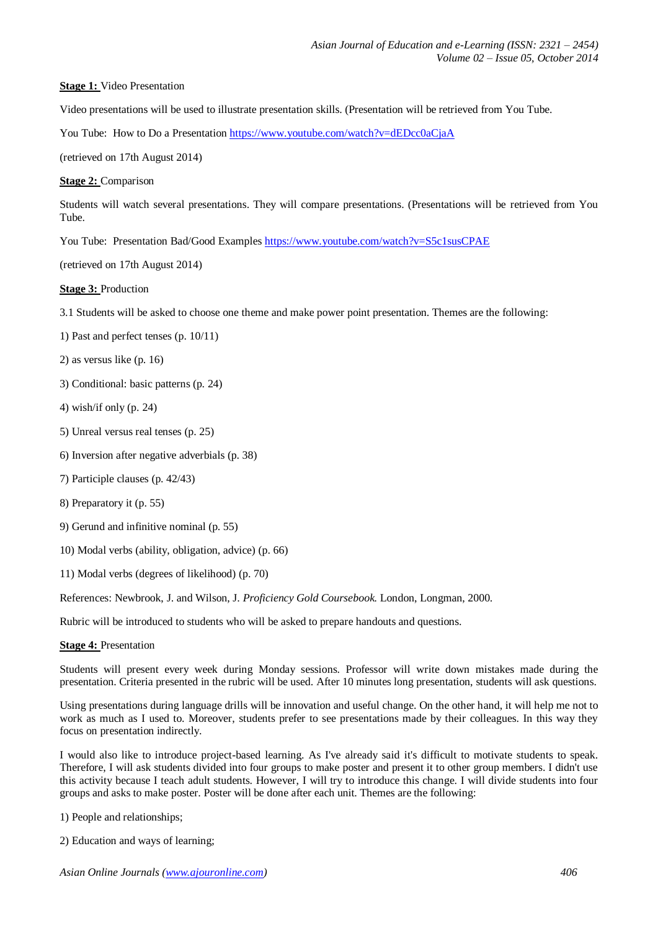#### **Stage 1:** Video Presentation

Video presentations will be used to illustrate presentation skills. (Presentation will be retrieved from You Tube.

You Tube: How to Do a Presentation <https://www.youtube.com/watch?v=dEDcc0aCjaA>

(retrieved on 17th August 2014)

#### **Stage 2:** Comparison

Students will watch several presentations. They will compare presentations. (Presentations will be retrieved from You Tube.

You Tube: Presentation Bad/Good Example[s https://www.youtube.com/watch?v=S5c1susCPAE](https://www.youtube.com/watch?v=S5c1susCPAE)

(retrieved on 17th August 2014)

### **Stage 3:** Production

3.1 Students will be asked to choose one theme and make power point presentation. Themes are the following:

1) Past and perfect tenses (p. 10/11)

2) as versus like (p. 16)

- 3) Conditional: basic patterns (p. 24)
- 4) wish/if only (p. 24)
- 5) Unreal versus real tenses (p. 25)
- 6) Inversion after negative adverbials (p. 38)
- 7) Participle clauses (p. 42/43)
- 8) Preparatory it (p. 55)
- 9) Gerund and infinitive nominal (p. 55)
- 10) Modal verbs (ability, obligation, advice) (p. 66)
- 11) Modal verbs (degrees of likelihood) (p. 70)

References: Newbrook, J. and Wilson, J. *Proficiency Gold Coursebook.* London, Longman, 2000.

Rubric will be introduced to students who will be asked to prepare handouts and questions.

**Stage 4:** Presentation

Students will present every week during Monday sessions. Professor will write down mistakes made during the presentation. Criteria presented in the rubric will be used. After 10 minutes long presentation, students will ask questions.

Using presentations during language drills will be innovation and useful change. On the other hand, it will help me not to work as much as I used to. Moreover, students prefer to see presentations made by their colleagues. In this way they focus on presentation indirectly.

I would also like to introduce project-based learning. As I've already said it's difficult to motivate students to speak. Therefore, I will ask students divided into four groups to make poster and present it to other group members. I didn't use this activity because I teach adult students. However, I will try to introduce this change. I will divide students into four groups and asks to make poster. Poster will be done after each unit. Themes are the following:

1) People and relationships;

2) Education and ways of learning;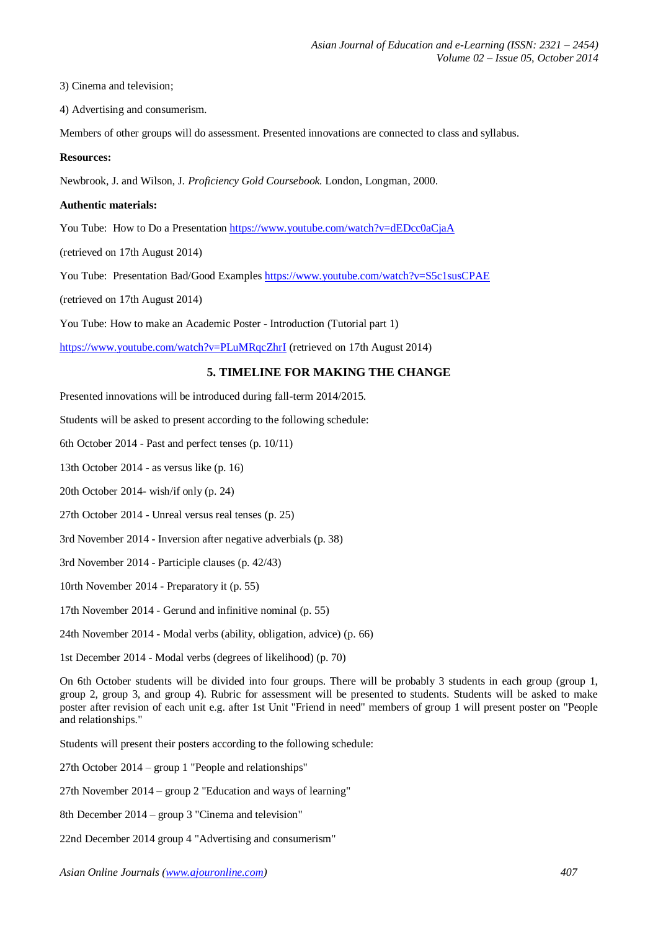3) Cinema and television;

4) Advertising and consumerism.

Members of other groups will do assessment. Presented innovations are connected to class and syllabus.

#### **Resources:**

Newbrook, J. and Wilson, J. *Proficiency Gold Coursebook.* London, Longman, 2000.

#### **Authentic materials:**

You Tube: How to Do a Presentation <https://www.youtube.com/watch?v=dEDcc0aCjaA>

(retrieved on 17th August 2014)

You Tube: Presentation Bad/Good Example[s https://www.youtube.com/watch?v=S5c1susCPAE](https://www.youtube.com/watch?v=S5c1susCPAE)

(retrieved on 17th August 2014)

You Tube: How to make an Academic Poster - Introduction (Tutorial part 1)

<https://www.youtube.com/watch?v=PLuMRqcZhrI> (retrieved on 17th August 2014)

#### **5. TIMELINE FOR MAKING THE CHANGE**

Presented innovations will be introduced during fall-term 2014/2015.

Students will be asked to present according to the following schedule:

6th October 2014 - Past and perfect tenses (p. 10/11)

13th October 2014 - as versus like (p. 16)

20th October 2014- wish/if only (p. 24)

27th October 2014 - Unreal versus real tenses (p. 25)

3rd November 2014 - Inversion after negative adverbials (p. 38)

3rd November 2014 - Participle clauses (p. 42/43)

10rth November 2014 - Preparatory it (p. 55)

17th November 2014 - Gerund and infinitive nominal (p. 55)

24th November 2014 - Modal verbs (ability, obligation, advice) (p. 66)

1st December 2014 - Modal verbs (degrees of likelihood) (p. 70)

On 6th October students will be divided into four groups. There will be probably 3 students in each group (group 1, group 2, group 3, and group 4). Rubric for assessment will be presented to students. Students will be asked to make poster after revision of each unit e.g. after 1st Unit "Friend in need" members of group 1 will present poster on "People and relationships."

Students will present their posters according to the following schedule:

27th October 2014 – group 1 "People and relationships"

27th November 2014 – group 2 "Education and ways of learning"

8th December 2014 – group 3 "Cinema and television"

22nd December 2014 group 4 "Advertising and consumerism"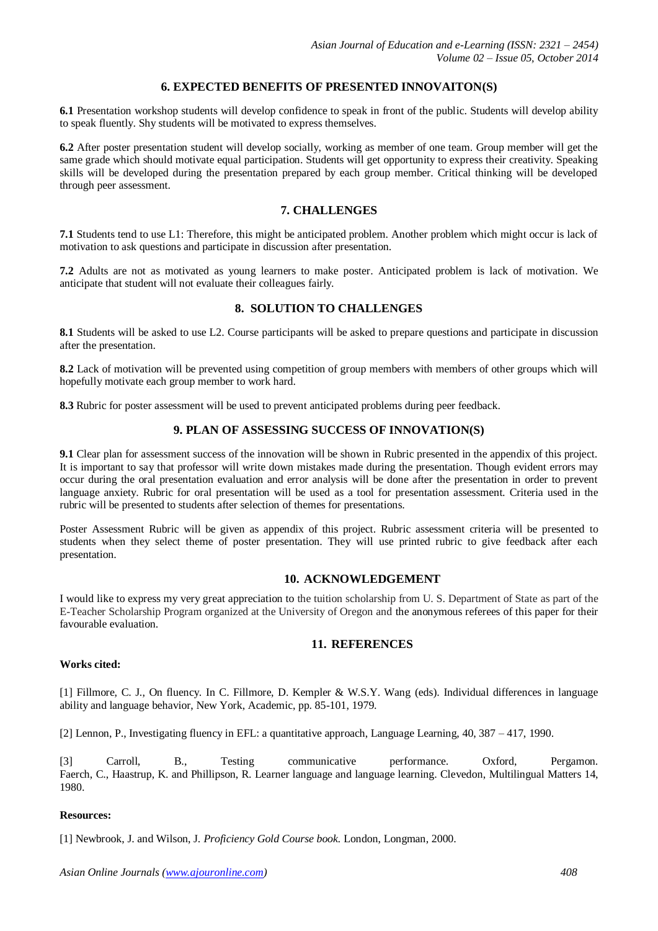## **6. EXPECTED BENEFITS OF PRESENTED INNOVAITON(S)**

**6.1** Presentation workshop students will develop confidence to speak in front of the public. Students will develop ability to speak fluently. Shy students will be motivated to express themselves.

**6.2** After poster presentation student will develop socially, working as member of one team. Group member will get the same grade which should motivate equal participation. Students will get opportunity to express their creativity. Speaking skills will be developed during the presentation prepared by each group member. Critical thinking will be developed through peer assessment.

## **7. CHALLENGES**

**7.1** Students tend to use L1: Therefore, this might be anticipated problem. Another problem which might occur is lack of motivation to ask questions and participate in discussion after presentation.

**7.2** Adults are not as motivated as young learners to make poster. Anticipated problem is lack of motivation. We anticipate that student will not evaluate their colleagues fairly.

## **8. SOLUTION TO CHALLENGES**

**8.1** Students will be asked to use L2. Course participants will be asked to prepare questions and participate in discussion after the presentation.

**8.2** Lack of motivation will be prevented using competition of group members with members of other groups which will hopefully motivate each group member to work hard.

**8.3** Rubric for poster assessment will be used to prevent anticipated problems during peer feedback.

## **9. PLAN OF ASSESSING SUCCESS OF INNOVATION(S)**

**9.1** Clear plan for assessment success of the innovation will be shown in Rubric presented in the appendix of this project. It is important to say that professor will write down mistakes made during the presentation. Though evident errors may occur during the oral presentation evaluation and error analysis will be done after the presentation in order to prevent language anxiety. Rubric for oral presentation will be used as a tool for presentation assessment. Criteria used in the rubric will be presented to students after selection of themes for presentations.

Poster Assessment Rubric will be given as appendix of this project. Rubric assessment criteria will be presented to students when they select theme of poster presentation. They will use printed rubric to give feedback after each presentation.

#### **10. ACKNOWLEDGEMENT**

I would like to express my very great appreciation to the tuition scholarship from U. S. Department of State as part of the E-Teacher Scholarship Program organized at the University of Oregon and the anonymous referees of this paper for their favourable evaluation.

## **11. REFERENCES**

#### **Works cited:**

[1] Fillmore, C. J., On fluency. In C. Fillmore, D. Kempler & W.S.Y. Wang (eds). Individual differences in language ability and language behavior, New York, Academic, pp. 85-101, 1979.

[2] Lennon, P., Investigating fluency in EFL: a quantitative approach, Language Learning, 40, 387 – 417, 1990.

[3] Carroll, B., Testing communicative performance. Oxford, Pergamon. Faerch, C., Haastrup, K. and Phillipson, R. Learner language and language learning. Clevedon, Multilingual Matters 14, 1980.

#### **Resources:**

[1] Newbrook, J. and Wilson, J. *Proficiency Gold Course book.* London, Longman, 2000.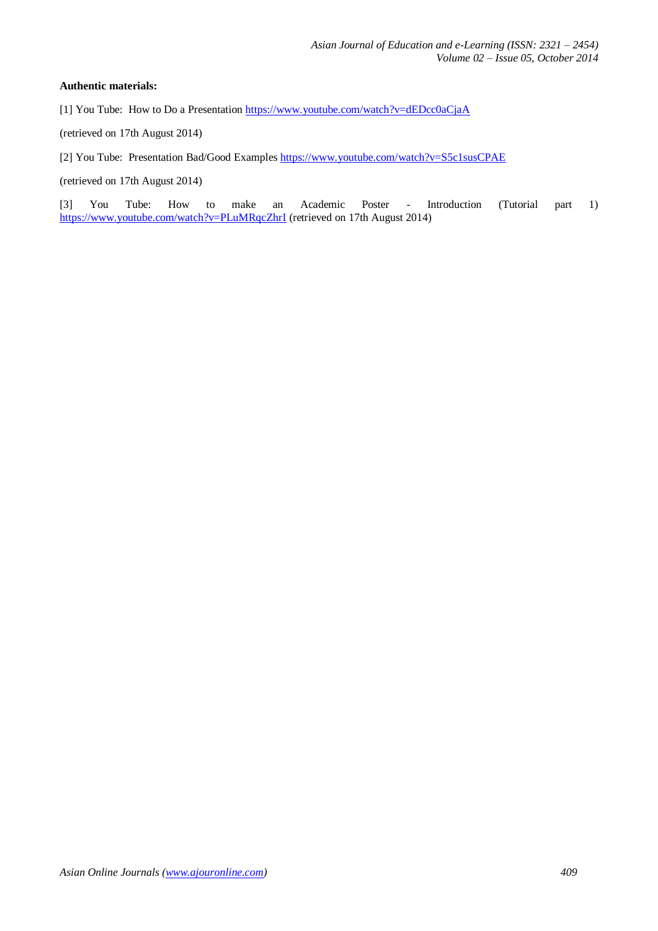#### **Authentic materials:**

[1] You Tube: How to Do a Presentation <https://www.youtube.com/watch?v=dEDcc0aCjaA>

(retrieved on 17th August 2014)

[2] You Tube: Presentation Bad/Good Example[s https://www.youtube.com/watch?v=S5c1susCPAE](https://www.youtube.com/watch?v=S5c1susCPAE)

(retrieved on 17th August 2014)

[3] You Tube: How to make an Academic Poster - Introduction (Tutorial part 1) <https://www.youtube.com/watch?v=PLuMRqcZhrI> (retrieved on 17th August 2014)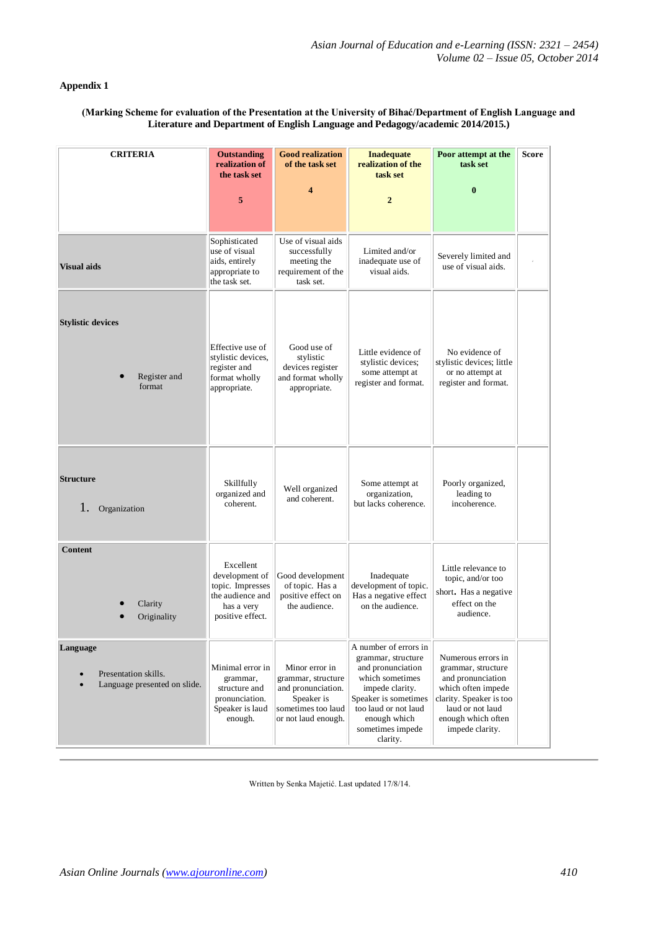## **Appendix 1**

#### **(Marking Scheme for evaluation of the Presentation at the University of Bihać/Department of English Language and Literature and Department of English Language and Pedagogy/academic 2014/2015.)**

| <b>CRITERIA</b>                                                  | <b>Outstanding</b><br>realization of<br>the task set                                                  | <b>Good realization</b><br>of the task set                                                                            | <b>Inadequate</b><br>realization of the<br>task set                                                                                                                                                    | Poor attempt at the<br>task set                                                                                                                                             | <b>Score</b> |
|------------------------------------------------------------------|-------------------------------------------------------------------------------------------------------|-----------------------------------------------------------------------------------------------------------------------|--------------------------------------------------------------------------------------------------------------------------------------------------------------------------------------------------------|-----------------------------------------------------------------------------------------------------------------------------------------------------------------------------|--------------|
|                                                                  | 5                                                                                                     | $\overline{\bf{4}}$                                                                                                   | $\overline{2}$                                                                                                                                                                                         | $\bf{0}$                                                                                                                                                                    |              |
| <b>Visual aids</b>                                               | Sophisticated<br>use of visual<br>aids, entirely<br>appropriate to<br>the task set.                   | Use of visual aids<br>successfully<br>meeting the<br>requirement of the<br>task set.                                  | Limited and/or<br>inadequate use of<br>visual aids.                                                                                                                                                    | Severely limited and<br>use of visual aids.                                                                                                                                 |              |
| <b>Stylistic devices</b><br>Register and<br>format               | Effective use of<br>stylistic devices,<br>register and<br>format wholly<br>appropriate.               | Good use of<br>stylistic<br>devices register<br>and format wholly<br>appropriate.                                     | Little evidence of<br>stylistic devices;<br>some attempt at<br>register and format.                                                                                                                    | No evidence of<br>stylistic devices; little<br>or no attempt at<br>register and format.                                                                                     |              |
| <b>Structure</b><br>1.<br>Organization                           | Skillfully<br>organized and<br>coherent.                                                              | Well organized<br>and coherent.                                                                                       | Some attempt at<br>organization,<br>but lacks coherence.                                                                                                                                               | Poorly organized,<br>leading to<br>incoherence.                                                                                                                             |              |
| Content<br>Clarity<br>Originality                                | Excellent<br>development of<br>topic. Impresses<br>the audience and<br>has a very<br>positive effect. | Good development<br>of topic. Has a<br>positive effect on<br>the audience.                                            | Inadequate<br>development of topic.<br>Has a negative effect<br>on the audience.                                                                                                                       | Little relevance to<br>topic, and/or too<br>short. Has a negative<br>effect on the<br>audience.                                                                             |              |
| Language<br>Presentation skills.<br>Language presented on slide. | Minimal error in<br>grammar,<br>structure and<br>pronunciation.<br>Speaker is laud<br>enough.         | Minor error in<br>grammar, structure<br>and pronunciation.<br>Speaker is<br>sometimes too laud<br>or not laud enough. | A number of errors in<br>grammar, structure<br>and pronunciation<br>which sometimes<br>impede clarity.<br>Speaker is sometimes<br>too laud or not laud<br>enough which<br>sometimes impede<br>clarity. | Numerous errors in<br>grammar, structure<br>and pronunciation<br>which often impede<br>clarity. Speaker is too<br>laud or not laud<br>enough which often<br>impede clarity. |              |

Written by Senka Majetić. Last updated 17/8/14.